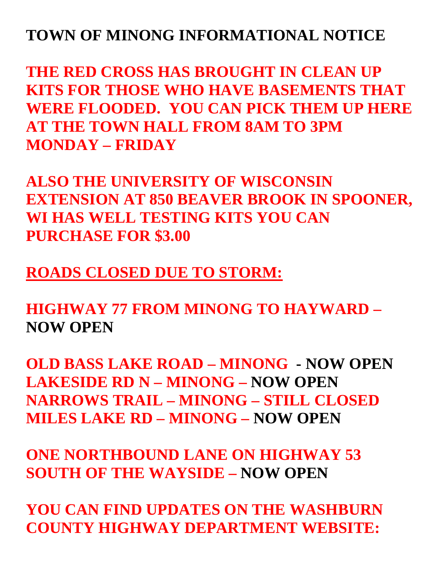# **TOWN OF MINONG INFORMATIONAL NOTICE**

**THE RED CROSS HAS BROUGHT IN CLEAN UP KITS FOR THOSE WHO HAVE BASEMENTS THAT WERE FLOODED. YOU CAN PICK THEM UP HERE AT THE TOWN HALL FROM 8AM TO 3PM MONDAY – FRIDAY**

**ALSO THE UNIVERSITY OF WISCONSIN EXTENSION AT 850 BEAVER BROOK IN SPOONER, WI HAS WELL TESTING KITS YOU CAN PURCHASE FOR \$3.00**

**ROADS CLOSED DUE TO STORM:**

**HIGHWAY 77 FROM MINONG TO HAYWARD – NOW OPEN**

**OLD BASS LAKE ROAD – MINONG - NOW OPEN LAKESIDE RD N – MINONG – NOW OPEN NARROWS TRAIL – MINONG – STILL CLOSED MILES LAKE RD – MINONG – NOW OPEN**

**ONE NORTHBOUND LANE ON HIGHWAY 53 SOUTH OF THE WAYSIDE – NOW OPEN**

**YOU CAN FIND UPDATES ON THE WASHBURN COUNTY HIGHWAY DEPARTMENT WEBSITE:**